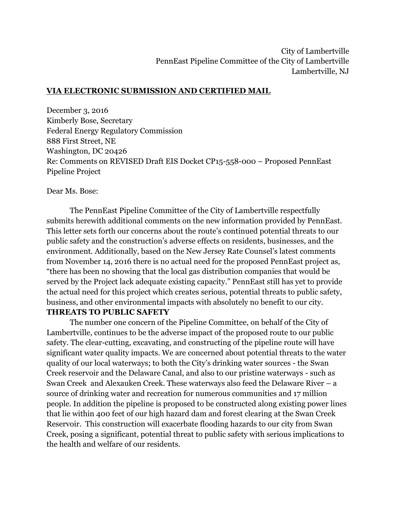## **VIA ELECTRONIC SUBMISSION AND CERTIFIED MAIL**

December 3, 2016 Kimberly Bose, Secretary Federal Energy Regulatory Commission 888 First Street, NE Washington, DC 20426 Re: Comments on REVISED Draft EIS Docket CP15-558-000 – Proposed PennEast Pipeline Project

Dear Ms. Bose:

The PennEast Pipeline Committee of the City of Lambertville respectfully submits herewith additional comments on the new information provided by PennEast. This letter sets forth our concerns about the route's continued potential threats to our public safety and the construction's adverse effects on residents, businesses, and the environment. Additionally, based on the New Jersey Rate Counsel's latest comments from November 14, 2016 there is no actual need for the proposed PennEast project as, "there has been no showing that the local gas distribution companies that would be served by the Project lack adequate existing capacity." PennEast still has yet to provide the actual need for this project which creates serious, potential threats to public safety, business, and other environmental impacts with absolutely no benefit to our city. **THREATS TO PUBLIC SAFETY**

The number one concern of the Pipeline Committee, on behalf of the City of Lambertville, continues to be the adverse impact of the proposed route to our public safety. The clear-cutting, excavating, and constructing of the pipeline route will have significant water quality impacts. We are concerned about potential threats to the water quality of our local waterways; to both the City's drinking water sources - the Swan Creek reservoir and the Delaware Canal, and also to our pristine waterways - such as Swan Creek and Alexauken Creek. These waterways also feed the Delaware River – a source of drinking water and recreation for numerous communities and 17 million people. In addition the pipeline is proposed to be constructed along existing power lines that lie within 400 feet of our high hazard dam and forest clearing at the Swan Creek Reservoir. This construction will exacerbate flooding hazards to our city from Swan Creek, posing a significant, potential threat to public safety with serious implications to the health and welfare of our residents.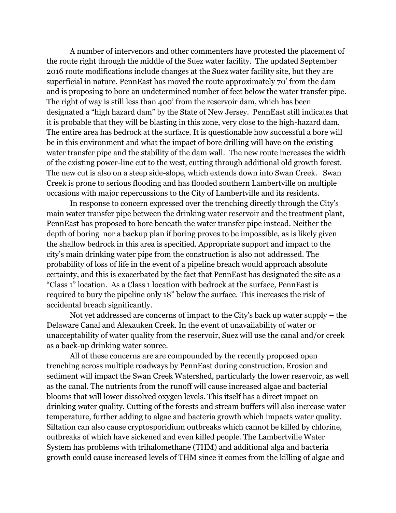A number of intervenors and other commenters have protested the placement of the route right through the middle of the Suez water facility. The updated September 2016 route modifications include changes at the Suez water facility site, but they are superficial in nature. PennEast has moved the route approximately 70' from the dam and is proposing to bore an undetermined number of feet below the water transfer pipe. The right of way is still less than 400' from the reservoir dam, which has been designated a "high hazard dam" by the State of New Jersey. PennEast still indicates that it is probable that they will be blasting in this zone, very close to the high-hazard dam. The entire area has bedrock at the surface. It is questionable how successful a bore will be in this environment and what the impact of bore drilling will have on the existing water transfer pipe and the stability of the dam wall. The new route increases the width of the existing power-line cut to the west, cutting through additional old growth forest. The new cut is also on a steep side-slope, which extends down into Swan Creek. Swan Creek is prone to serious flooding and has flooded southern Lambertville on multiple occasions with major repercussions to the City of Lambertville and its residents.

In response to concern expressed over the trenching directly through the City's main water transfer pipe between the drinking water reservoir and the treatment plant, PennEast has proposed to bore beneath the water transfer pipe instead. Neither the depth of boring nor a backup plan if boring proves to be impossible, as is likely given the shallow bedrock in this area is specified. Appropriate support and impact to the city's main drinking water pipe from the construction is also not addressed. The probability of loss of life in the event of a pipeline breach would approach absolute certainty, and this is exacerbated by the fact that PennEast has designated the site as a "Class 1" location. As a Class 1 location with bedrock at the surface, PennEast is required to bury the pipeline only 18" below the surface. This increases the risk of accidental breach significantly.

Not yet addressed are concerns of impact to the City's back up water supply – the Delaware Canal and Alexauken Creek. In the event of unavailability of water or unacceptability of water quality from the reservoir, Suez will use the canal and/or creek as a back-up drinking water source.

All of these concerns are are compounded by the recently proposed open trenching across multiple roadways by PennEast during construction. Erosion and sediment will impact the Swan Creek Watershed, particularly the lower reservoir, as well as the canal. The nutrients from the runoff will cause increased algae and bacterial blooms that will lower dissolved oxygen levels. This itself has a direct impact on drinking water quality. Cutting of the forests and stream buffers will also increase water temperature, further adding to algae and bacteria growth which impacts water quality. Siltation can also cause cryptosporidium outbreaks which cannot be killed by chlorine, outbreaks of which have sickened and even killed people. The Lambertville Water System has problems with trihalomethane (THM) and additional alga and bacteria growth could cause increased levels of THM since it comes from the killing of algae and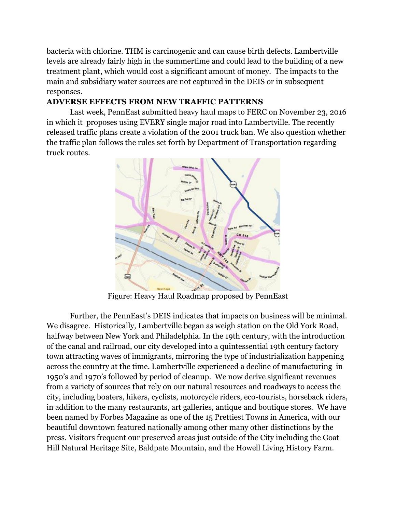bacteria with chlorine. THM is carcinogenic and can cause birth defects. Lambertville levels are already fairly high in the summertime and could lead to the building of a new treatment plant, which would cost a significant amount of money. The impacts to the main and subsidiary water sources are not captured in the DEIS or in subsequent responses.

## **ADVERSE EFFECTS FROM NEW TRAFFIC PATTERNS**

Last week, PennEast submitted heavy haul maps to FERC on November 23, 2016 in which it proposes using EVERY single major road into Lambertville. The recently released traffic plans create a violation of the 2001 truck ban. We also question whether the traffic plan follows the rules set forth by Department of Transportation regarding truck routes.



Figure: Heavy Haul Roadmap proposed by PennEast

Further, the PennEast's DEIS indicates that impacts on business will be minimal. We disagree. Historically, Lambertville began as weigh station on the Old York Road, halfway between New York and Philadelphia. In the 19th century, with the introduction of the canal and railroad, our city developed into a quintessential 19th century factory town attracting waves of immigrants, mirroring the type of industrialization happening across the country at the time. Lambertville experienced a decline of manufacturing in 1950's and 1970's followed by period of cleanup. We now derive significant revenues from a variety of sources that rely on our natural resources and roadways to access the city, including boaters, hikers, cyclists, motorcycle riders, eco-tourists, horseback riders, in addition to the many restaurants, art galleries, antique and boutique stores. We have been named by Forbes Magazine as one of the 15 Prettiest Towns in America, with our beautiful downtown featured nationally among other many other distinctions by the press. Visitors frequent our preserved areas just outside of the City including the Goat Hill Natural Heritage Site, Baldpate Mountain, and the Howell Living History Farm.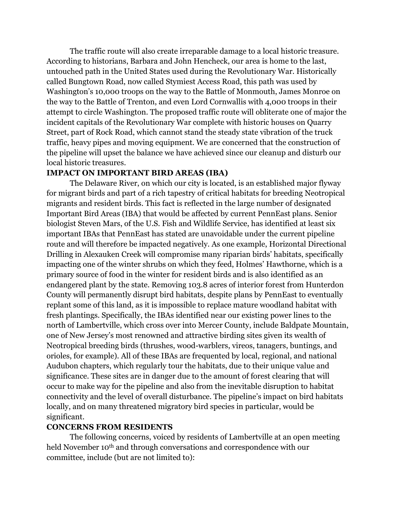The traffic route will also create irreparable damage to a local historic treasure. According to historians, Barbara and John Hencheck, our area is home to the last, untouched path in the United States used during the Revolutionary War. Historically called Bungtown Road, now called Stymiest Access Road, this path was used by Washington's 10,000 troops on the way to the Battle of Monmouth, James Monroe on the way to the Battle of Trenton, and even Lord Cornwallis with 4,000 troops in their attempt to circle Washington. The proposed traffic route will obliterate one of major the incident capitals of the Revolutionary War complete with historic houses on Quarry Street, part of Rock Road, which cannot stand the steady state vibration of the truck traffic, heavy pipes and moving equipment. We are concerned that the construction of the pipeline will upset the balance we have achieved since our cleanup and disturb our local historic treasures.

## **IMPACT ON IMPORTANT BIRD AREAS (IBA)**

The Delaware River, on which our city is located, is an established major flyway for migrant birds and part of a rich tapestry of critical habitats for breeding Neotropical migrants and resident birds. This fact is reflected in the large number of designated Important Bird Areas (IBA) that would be affected by current PennEast plans. Senior biologist Steven Mars, of the U.S. Fish and Wildlife Service, has identified at least six important IBAs that PennEast has stated are unavoidable under the current pipeline route and will therefore be impacted negatively. As one example, Horizontal Directional Drilling in Alexauken Creek will compromise many riparian birds' habitats, specifically impacting one of the winter shrubs on which they feed, Holmes' Hawthorne, which is a primary source of food in the winter for resident birds and is also identified as an endangered plant by the state. Removing 103.8 acres of interior forest from Hunterdon County will permanently disrupt bird habitats, despite plans by PennEast to eventually replant some of this land, as it is impossible to replace mature woodland habitat with fresh plantings. Specifically, the IBAs identified near our existing power lines to the north of Lambertville, which cross over into Mercer County, include Baldpate Mountain, one of New Jersey's most renowned and attractive birding sites given its wealth of Neotropical breeding birds (thrushes, wood-warblers, vireos, tanagers, buntings, and orioles, for example). All of these IBAs are frequented by local, regional, and national Audubon chapters, which regularly tour the habitats, due to their unique value and significance. These sites are in danger due to the amount of forest clearing that will occur to make way for the pipeline and also from the inevitable disruption to habitat connectivity and the level of overall disturbance. The pipeline's impact on bird habitats locally, and on many threatened migratory bird species in particular, would be significant.

## **CONCERNS FROM RESIDENTS**

The following concerns, voiced by residents of Lambertville at an open meeting held November 10<sup>th</sup> and through conversations and correspondence with our committee, include (but are not limited to):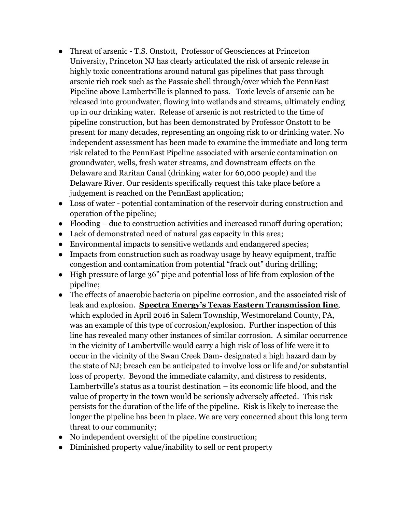- Threat of arsenic T.S. Onstott, Professor of Geosciences at Princeton University, Princeton NJ has clearly articulated the risk of arsenic release in highly toxic concentrations around natural gas pipelines that pass through arsenic rich rock such as the Passaic shell through/over which the PennEast Pipeline above Lambertville is planned to pass. Toxic levels of arsenic can be released into groundwater, flowing into wetlands and streams, ultimately ending up in our drinking water. Release of arsenic is not restricted to the time of pipeline construction, but has been demonstrated by Professor Onstott to be present for many decades, representing an ongoing risk to or drinking water. No independent assessment has been made to examine the immediate and long term risk related to the PennEast Pipeline associated with arsenic contamination on groundwater, wells, fresh water streams, and downstream effects on the Delaware and Raritan Canal (drinking water for 60,000 people) and the Delaware River. Our residents specifically request this take place before a judgement is reached on the PennEast application;
- Loss of water potential contamination of the reservoir during construction and operation of the pipeline;
- Flooding due to construction activities and increased runoff during operation;
- Lack of demonstrated need of natural gas capacity in this area;
- Environmental impacts to sensitive wetlands and endangered species;
- Impacts from construction such as roadway usage by heavy equipment, traffic congestion and contamination from potential "frack out" during drilling;
- High pressure of large 36" pipe and potential loss of life from explosion of the pipeline;
- The effects of anaerobic bacteria on pipeline corrosion, and the associated risk of leak and explosion. **[Spectra Energy's Texas Eastern Transmission line](http://www.spectraenergy.com/announcements/)**, which exploded in April 2016 in Salem Township, Westmoreland County, PA, was an example of this type of corrosion/explosion. Further inspection of this line has revealed many other instances of similar corrosion. A similar occurrence in the vicinity of Lambertville would carry a high risk of loss of life were it to occur in the vicinity of the Swan Creek Dam- designated a high hazard dam by the state of NJ; breach can be anticipated to involve loss or life and/or substantial loss of property. Beyond the immediate calamity, and distress to residents, Lambertville's status as a tourist destination – its economic life blood, and the value of property in the town would be seriously adversely affected. This risk persists for the duration of the life of the pipeline. Risk is likely to increase the longer the pipeline has been in place. We are very concerned about this long term threat to our community;
- No independent oversight of the pipeline construction;
- Diminished property value/inability to sell or rent property